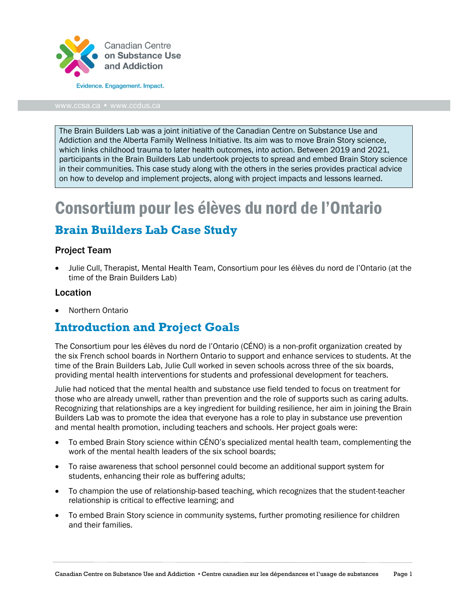

The Brain Builders Lab was a joint initiative of the Canadian Centre on Substance Use and Addiction and the Alberta Family Wellness Initiative. Its aim was to move Brain Story science, which links childhood trauma to later health outcomes, into action. Between 2019 and 2021, participants in the Brain Builders Lab undertook projects to spread and embed Brain Story science in their communities. This case study along with the others in the series provides practical advice on how to develop and implement projects, along with project impacts and lessons learned.

# Consortium pour les élèves du nord de l'Ontario

### **Brain Builders Lab Case Study**

### Project Team

• Julie Cull, Therapist, Mental Health Team, Consortium pour les élèves du nord de l'Ontario (at the time of the Brain Builders Lab)

#### Location

• Northern Ontario

### **Introduction and Project Goals**

The Consortium pour les élèves du nord de l'Ontario (CÉNO) is a non-profit organization created by the six French school boards in Northern Ontario to support and enhance services to students. At the time of the Brain Builders Lab, Julie Cull worked in seven schools across three of the six boards, providing mental health interventions for students and professional development for teachers.

Julie had noticed that the mental health and substance use field tended to focus on treatment for those who are already unwell, rather than prevention and the role of supports such as caring adults. Recognizing that relationships are a key ingredient for building resilience, her aim in joining the Brain Builders Lab was to promote the idea that everyone has a role to play in substance use prevention and mental health promotion, including teachers and schools. Her project goals were:

- To embed Brain Story science within CÉNO's specialized mental health team, complementing the work of the mental health leaders of the six school boards;
- To raise awareness that school personnel could become an additional support system for students, enhancing their role as buffering adults;
- To champion the use of relationship-based teaching, which recognizes that the student-teacher relationship is critical to effective learning; and
- To embed Brain Story science in community systems, further promoting resilience for children and their families.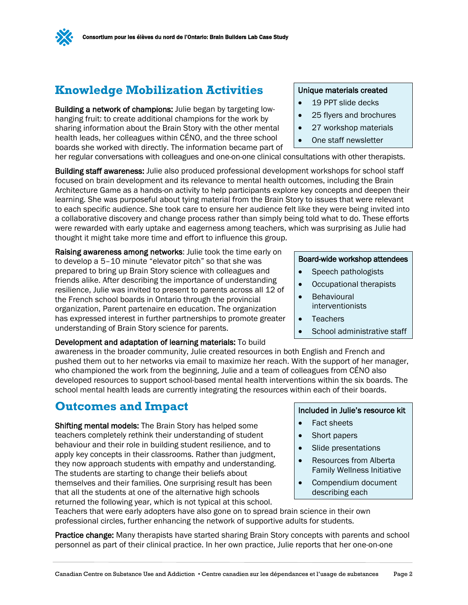

## **Knowledge Mobilization Activities**

Building a network of champions: Julie began by targeting lowhanging fruit: to create additional champions for the work by sharing information about the Brain Story with the other mental health leads, her colleagues within CÉNO, and the three school boards she worked with directly. The information became part of

#### Unique materials created

- 19 PPT slide decks
- 25 flyers and brochures
- 27 workshop materials
- One staff newsletter

her regular conversations with colleagues and one-on-one clinical consultations with other therapists.

Building staff awareness: Julie also produced professional development workshops for school staff focused on brain development and its relevance to mental health outcomes, including the Brain Architecture Game as a hands-on activity to help participants explore key concepts and deepen their learning. She was purposeful about tying material from the Brain Story to issues that were relevant to each specific audience. She took care to ensure her audience felt like they were being invited into a collaborative discovery and change process rather than simply being told what to do. These efforts were rewarded with early uptake and eagerness among teachers, which was surprising as Julie had thought it might take more time and effort to influence this group.

Raising awareness among networks: Julie took the time early on to develop a 5–10 minute "elevator pitch" so that she was prepared to bring up Brain Story science with colleagues and friends alike. After describing the importance of understanding resilience, Julie was invited to present to parents across all 12 of the French school boards in Ontario through the provincial organization, Parent partenaire en education. The organization has expressed interest in further partnerships to promote greater understanding of Brain Story science for parents.

#### Development and adaptation of learning materials: To build

awareness in the broader community, Julie created resources in both English and French and pushed them out to her networks via email to maximize her reach. With the support of her manager, who championed the work from the beginning, Julie and a team of colleagues from CÉNO also developed resources to support school-based mental health interventions within the six boards. The school mental health leads are currently integrating the resources within each of their boards.

### **Outcomes and Impact**

Shifting mental models: The Brain Story has helped some teachers completely rethink their understanding of student behaviour and their role in building student resilience, and to apply key concepts in their classrooms. Rather than judgment, they now approach students with empathy and understanding. The students are starting to change their beliefs about themselves and their families. One surprising result has been that all the students at one of the alternative high schools returned the following year, which is not typical at this school.

#### Included in Julie's resource kit

- Fact sheets
- Short papers
- Slide presentations
- Resources from Alberta Family Wellness Initiative
- Compendium document describing each

Teachers that were early adopters have also gone on to spread brain science in their own professional circles, further enhancing the network of supportive adults for students.

Practice change: Many therapists have started sharing Brain Story concepts with parents and school personnel as part of their clinical practice. In her own practice, Julie reports that her one-on-one

#### Board-wide workshop attendees

- Speech pathologists
- Occupational therapists
- Behavioural interventionists
- Teachers
- School administrative staff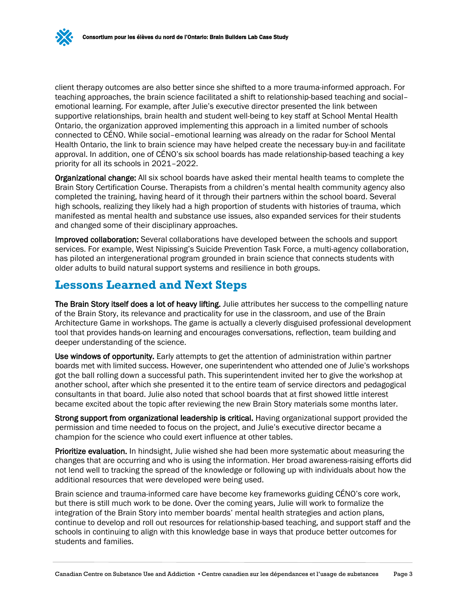client therapy outcomes are also better since she shifted to a more trauma-informed approach. For teaching approaches, the brain science facilitated a shift to relationship-based teaching and social– emotional learning. For example, after Julie's executive director presented the link between supportive relationships, brain health and student well-being to key staff at School Mental Health Ontario, the organization approved implementing this approach in a limited number of schools connected to CÉNO. While social–emotional learning was already on the radar for School Mental Health Ontario, the link to brain science may have helped create the necessary buy-in and facilitate approval. In addition, one of CÉNO's six school boards has made relationship-based teaching a key priority for all its schools in 2021–2022.

Organizational change: All six school boards have asked their mental health teams to complete the Brain Story Certification Course. Therapists from a children's mental health community agency also completed the training, having heard of it through their partners within the school board. Several high schools, realizing they likely had a high proportion of students with histories of trauma, which manifested as mental health and substance use issues, also expanded services for their students and changed some of their disciplinary approaches.

Improved collaboration: Several collaborations have developed between the schools and support services. For example, West Nipissing's Suicide Prevention Task Force, a multi-agency collaboration, has piloted an intergenerational program grounded in brain science that connects students with older adults to build natural support systems and resilience in both groups.

### **Lessons Learned and Next Steps**

The Brain Story itself does a lot of heavy lifting. Julie attributes her success to the compelling nature of the Brain Story, its relevance and practicality for use in the classroom, and use of the Brain Architecture Game in workshops. The game is actually a cleverly disguised professional development tool that provides hands-on learning and encourages conversations, reflection, team building and deeper understanding of the science.

Use windows of opportunity. Early attempts to get the attention of administration within partner boards met with limited success. However, one superintendent who attended one of Julie's workshops got the ball rolling down a successful path. This superintendent invited her to give the workshop at another school, after which she presented it to the entire team of service directors and pedagogical consultants in that board. Julie also noted that school boards that at first showed little interest became excited about the topic after reviewing the new Brain Story materials some months later.

Strong support from organizational leadership is critical. Having organizational support provided the permission and time needed to focus on the project, and Julie's executive director became a champion for the science who could exert influence at other tables.

Prioritize evaluation. In hindsight, Julie wished she had been more systematic about measuring the changes that are occurring and who is using the information. Her broad awareness-raising efforts did not lend well to tracking the spread of the knowledge or following up with individuals about how the additional resources that were developed were being used.

Brain science and trauma-informed care have become key frameworks guiding CÉNO's core work, but there is still much work to be done. Over the coming years, Julie will work to formalize the integration of the Brain Story into member boards' mental health strategies and action plans, continue to develop and roll out resources for relationship-based teaching, and support staff and the schools in continuing to align with this knowledge base in ways that produce better outcomes for students and families.